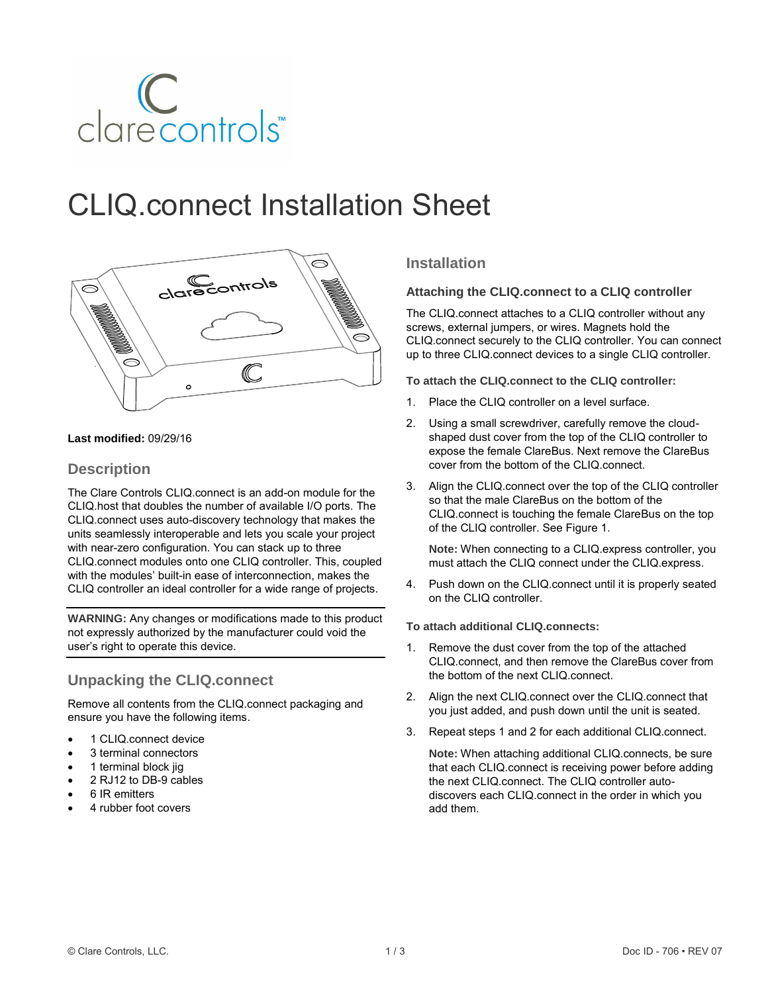

# CLIQ.connect Installation Sheet



#### **Last modified:** 09/29/16

## **Description**

The Clare Controls CLIQ.connect is an add-on module for the CLIQ.host that doubles the number of available I/O ports. The CLIQ.connect uses auto-discovery technology that makes the units seamlessly interoperable and lets you scale your project with near-zero configuration. You can stack up to three CLIQ.connect modules onto one CLIQ controller. This, coupled with the modules' built-in ease of interconnection, makes the CLIQ controller an ideal controller for a wide range of projects.

**WARNING:** Any changes or modifications made to this product not expressly authorized by the manufacturer could void the user's right to operate this device.

## **Unpacking the CLIQ.connect**

Remove all contents from the CLIQ.connect packaging and ensure you have the following items.

- 1 CLIQ.connect device
- 3 terminal connectors
- 1 terminal block jig
- 2 RJ12 to DB-9 cables
- 6 IR emitters
- 4 rubber foot covers

### **Installation**

#### **Attaching the CLIQ.connect to a CLIQ controller**

The CLIQ.connect attaches to a CLIQ controller without any screws, external jumpers, or wires. Magnets hold the CLIQ.connect securely to the CLIQ controller. You can connect up to three CLIQ.connect devices to a single CLIQ controller.

**To attach the CLIQ.connect to the CLIQ controller:**

- 1. Place the CLIQ controller on a level surface.
- 2. Using a small screwdriver, carefully remove the cloudshaped dust cover from the top of the CLIQ controller to expose the female ClareBus. Next remove the ClareBus cover from the bottom of the CLIQ.connect.
- 3. Align the CLIQ.connect over the top of the CLIQ controller so that the male ClareBus on the bottom of the CLIQ.connect is touching the female ClareBus on the top of the CLIQ controller. See [Figure](#page-1-0) 1.

**Note:** When connecting to a CLIQ.express controller, you must attach the CLIQ connect under the CLIQ.express.

4. Push down on the CLIQ.connect until it is properly seated on the CLIQ controller.

#### **To attach additional CLIQ.connects:**

- 1. Remove the dust cover from the top of the attached CLIQ.connect, and then remove the ClareBus cover from the bottom of the next CLIQ.connect.
- 2. Align the next CLIQ.connect over the CLIQ.connect that you just added, and push down until the unit is seated.
- 3. Repeat steps 1 and 2 for each additional CLIQ.connect.

**Note:** When attaching additional CLIQ.connects, be sure that each CLIQ.connect is receiving power before adding the next CLIQ.connect. The CLIQ controller autodiscovers each CLIQ.connect in the order in which you add them.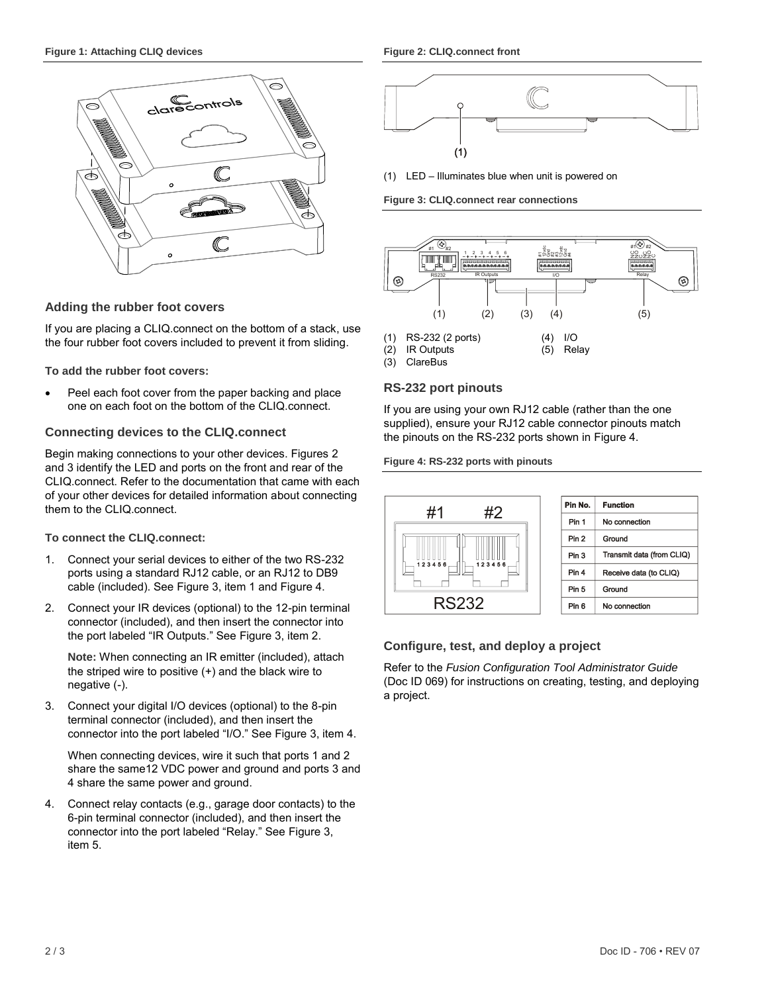<span id="page-1-0"></span>

#### **Adding the rubber foot covers**

If you are placing a CLIQ.connect on the bottom of a stack, use the four rubber foot covers included to prevent it from sliding.

**To add the rubber foot covers:**

 Peel each foot cover from the paper backing and place one on each foot on the bottom of the CLIQ.connect.

#### **Connecting devices to the CLIQ.connect**

Begin making connections to your other devices. Figures 2 and 3 identify the LED and ports on the front and rear of the CLIQ.connect. Refer to the documentation that came with each of your other devices for detailed information about connecting them to the CLIQ.connect.

#### **To connect the CLIQ.connect:**

- 1. Connect your serial devices to either of the two RS-232 ports using a standard RJ12 cable, or an RJ12 to DB9 cable (included). See [Figure](#page-1-1) 3, item 1 an[d Figure](#page-1-2) 4.
- 2. Connect your IR devices (optional) to the 12-pin terminal connector (included), and then insert the connector into the port labeled "IR Outputs." See [Figure](#page-1-1) 3, item 2.

**Note:** When connecting an IR emitter (included), attach the striped wire to positive (+) and the black wire to negative (-).

3. Connect your digital I/O devices (optional) to the 8-pin terminal connector (included), and then insert the connector into the port labeled "I/O." See [Figure](#page-1-1) 3, item 4.

When connecting devices, wire it such that ports 1 and 2 share the same12 VDC power and ground and ports 3 and 4 share the same power and ground.

4. Connect relay contacts (e.g., garage door contacts) to the 6-pin terminal connector (included), and then insert the connector into the port labeled "Relay." See [Figure](#page-1-1) 3, item 5.



(1) LED – Illuminates blue when unit is powered on

<span id="page-1-1"></span>**Figure 3: CLIQ.connect rear connections**



#### **RS-232 port pinouts**

If you are using your own RJ12 cable (rather than the one supplied), ensure your RJ12 cable connector pinouts match the pinouts on the RS-232 ports shown i[n Figure](#page-1-2) 4.

#### <span id="page-1-2"></span>**Figure 4: RS-232 ports with pinouts**



| Pin No.          | <b>Function</b>           |
|------------------|---------------------------|
| Pin 1            | No connection             |
| Pin <sub>2</sub> | Ground                    |
| Pin 3            | Transmit data (from CLIQ) |
| Pin 4            | Receive data (to CLIQ)    |
| Pin 5            | Ground                    |
| Pin 6            | No connection             |

#### **Configure, test, and deploy a project**

Refer to the *Fusion Configuration Tool Administrator Guide* (Doc ID 069) for instructions on creating, testing, and deploying a project.